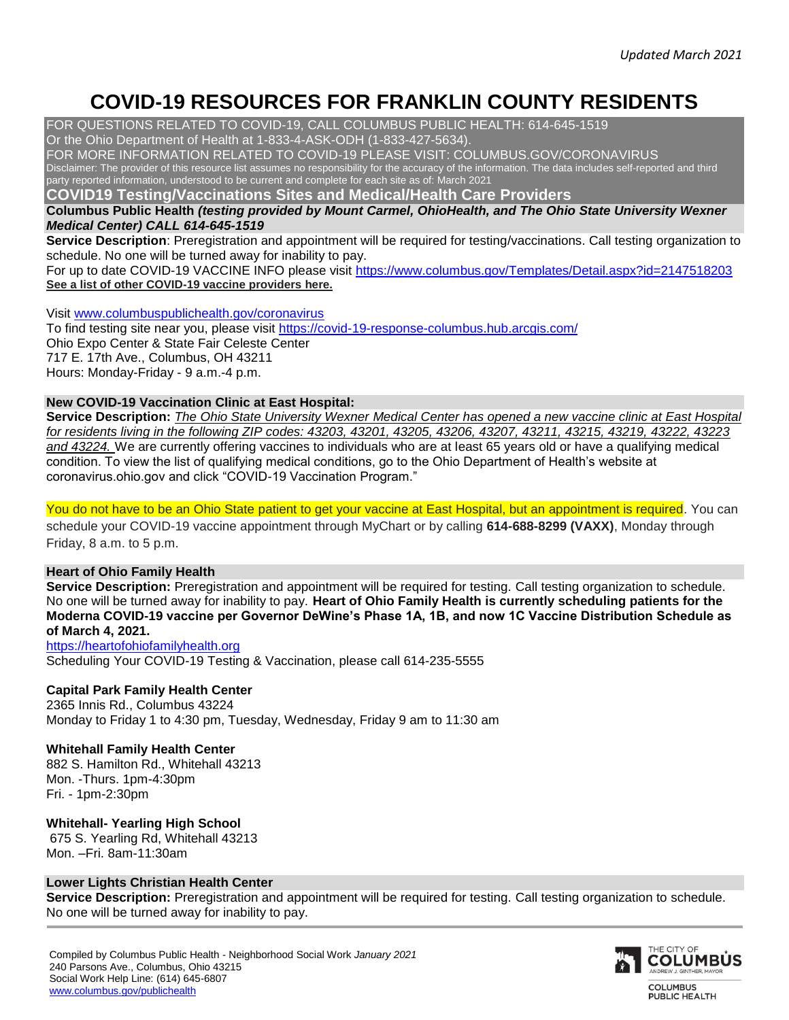# **COVID-19 RESOURCES FOR FRANKLIN COUNTY RESIDENTS**

FOR QUESTIONS RELATED TO COVID-19, CALL COLUMBUS PUBLIC HEALTH: 614-645-1519

Or the Ohio Department of Health at 1-833-4-ASK-ODH (1-833-427-5634).

FOR MORE INFORMATION RELATED TO COVID-19 PLEASE VISIT: COLUMBUS.GOV/CORONAVIRUS Disclaimer: The provider of this resource list assumes no responsibility for the accuracy of the information. The data includes self-reported and third party reported information, understood to be current and complete for each site as of: March 2021

**COVID19 Testing/Vaccinations Sites and Medical/Health Care Providers** 

**Columbus Public Health** *(testing provided by Mount Carmel, OhioHealth, and The Ohio State University Wexner Medical Center) CALL 614-645-1519*

**Service Description**: Preregistration and appointment will be required for testing/vaccinations. Call testing organization to schedule. No one will be turned away for inability to pay.

For up to date COVID-19 VACCINE INFO please visit<https://www.columbus.gov/Templates/Detail.aspx?id=2147518203> **[See a list of other COVID-19 vaccine providers](https://vaccine.coronavirus.ohio.gov/) [here.](https://vaccine.coronavirus.ohio.gov/)**

Visit [www.columbuspublichealth.gov/coronavirus](http://www.columbuspublichealth.gov/coronavirus)

To find testing site near you, please visit<https://covid-19-response-columbus.hub.arcgis.com/> Ohio Expo Center & State Fair Celeste Center 717 E. 17th Ave., Columbus, OH 43211 Hours: Monday-Friday - 9 a.m.-4 p.m.

# **New COVID-19 Vaccination Clinic at East Hospital:**

**Service Description:** *The Ohio State University Wexner Medical Center has opened a new vaccine clinic at East Hospital for residents living in the following ZIP codes: 43203, 43201, 43205, 43206, 43207, 43211, 43215, 43219, 43222, 43223 and 43224.* We are currently offering vaccines to individuals who are at least 65 years old or have a qualifying medical condition. To view the list of qualifying medical conditions, go to the Ohio Department of Health's website at coronavirus.ohio.gov and click "COVID-19 Vaccination Program."

You do not have to be an Ohio State patient to get your vaccine at East Hospital, but an appointment is required. You can schedule your COVID-19 vaccine appointment through MyChart or by calling **614-688-8299 (VAXX)**, Monday through Friday, 8 a.m. to 5 p.m.

#### **Heart of Ohio Family Health**

**Service Description:** Preregistration and appointment will be required for testing. Call testing organization to schedule. No one will be turned away for inability to pay. **Heart of Ohio Family Health is currently scheduling patients for the Moderna COVID-19 vaccine per Governor DeWine's Phase 1A, 1B, and now 1C Vaccine Distribution Schedule as of March 4, 2021.**

#### [https://heartofohiofamilyhealth.org](https://heartofohiofamilyhealth.org/)

Scheduling Your COVID-19 Testing & Vaccination, please call 614-235-5555

# **Capital Park Family Health Center**

2365 Innis Rd., Columbus 43224 Monday to Friday 1 to 4:30 pm, Tuesday, Wednesday, Friday 9 am to 11:30 am

# **Whitehall Family Health Center**

882 S. Hamilton Rd., Whitehall 43213 Mon. -Thurs. 1pm-4:30pm Fri. - 1pm-2:30pm

# **Whitehall- Yearling High School**

675 S. Yearling Rd, Whitehall 43213 Mon. –Fri. 8am-11:30am

#### **Lower Lights Christian Health Center**

**Service Description:** Preregistration and appointment will be required for testing. Call testing organization to schedule. No one will be turned away for inability to pay.

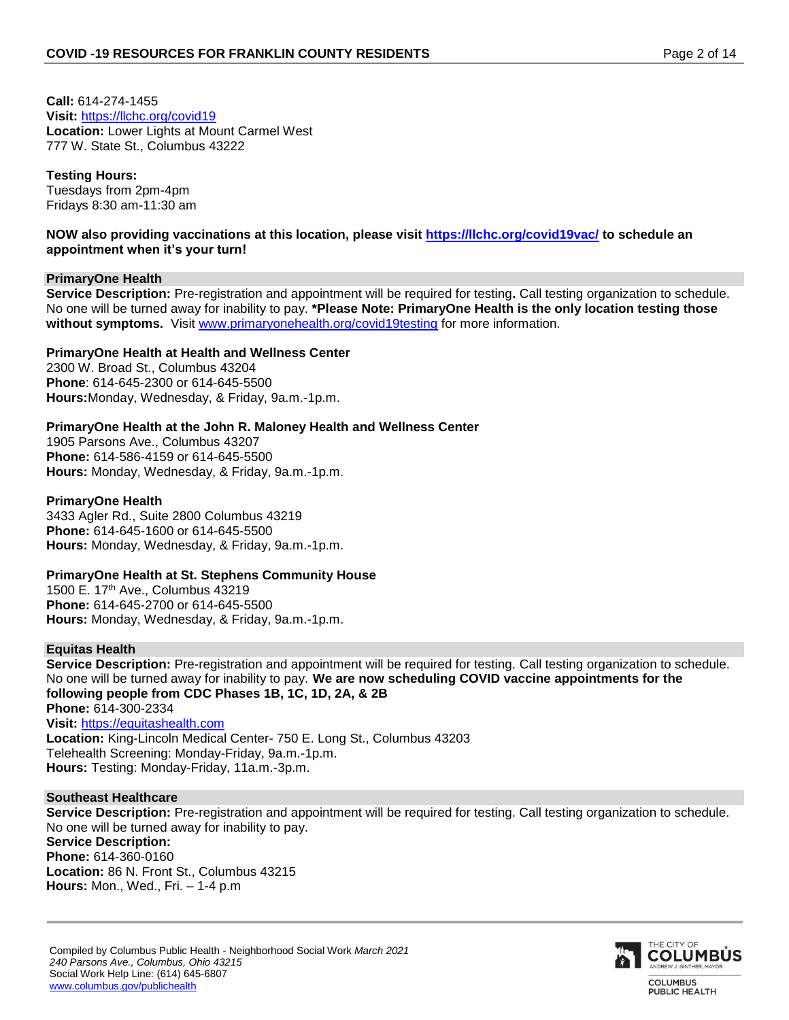**Call:** 614-274-1455 **Visit:** <https://llchc.org/covid19> **Location:** Lower Lights at Mount Carmel West 777 W. State St., Columbus 43222

# **Testing Hours:**

Tuesdays from 2pm-4pm Fridays 8:30 am-11:30 am

#### **NOW also providing vaccinations at this location, please visit<https://llchc.org/covid19vac/> to schedule an appointment when it's your turn!**

## **PrimaryOne Health**

**Service Description:** Pre-registration and appointment will be required for testing**.** Call testing organization to schedule. No one will be turned away for inability to pay. **\*Please Note: PrimaryOne Health is the only location testing those without symptoms.** Visit [www.primaryonehealth.org/covid19testing](http://www.primaryonehealth.org/covid19testing) for more information.

## **PrimaryOne Health at Health and Wellness Center**

2300 W. Broad St., Columbus 43204 **Phone**: 614-645-2300 or 614-645-5500 **Hours:**Monday, Wednesday, & Friday, 9a.m.-1p.m.

## **PrimaryOne Health at the John R. Maloney Health and Wellness Center**

1905 Parsons Ave., Columbus 43207 **Phone:** 614-586-4159 or 614-645-5500 **Hours:** Monday, Wednesday, & Friday, 9a.m.-1p.m.

#### **PrimaryOne Health**

3433 Agler Rd., Suite 2800 Columbus 43219 **Phone:** 614-645-1600 or 614-645-5500 **Hours:** Monday, Wednesday, & Friday, 9a.m.-1p.m.

#### **PrimaryOne Health at St. Stephens Community House**

1500 E. 17th Ave., Columbus 43219 **Phone:** 614-645-2700 or 614-645-5500 **Hours:** Monday, Wednesday, & Friday, 9a.m.-1p.m.

#### **Equitas Health**

**Service Description:** Pre-registration and appointment will be required for testing. Call testing organization to schedule. No one will be turned away for inability to pay. **We are now scheduling COVID vaccine appointments for the following people from CDC Phases 1B, 1C, 1D, 2A, & 2B Phone:** 614-300-2334 **Visit:** [https://equitashealth.com](https://equitashealth.com/) **Location:** King-Lincoln Medical Center- 750 E. Long St., Columbus 43203

Telehealth Screening: Monday-Friday, 9a.m.-1p.m. **Hours:** Testing: Monday-Friday, 11a.m.-3p.m.

#### **Southeast Healthcare**

**Service Description:** Pre-registration and appointment will be required for testing. Call testing organization to schedule. No one will be turned away for inability to pay. **Service Description: Phone:** 614-360-0160 **Location:** 86 N. Front St., Columbus 43215 **Hours:** Mon., Wed., Fri. – 1-4 p.m

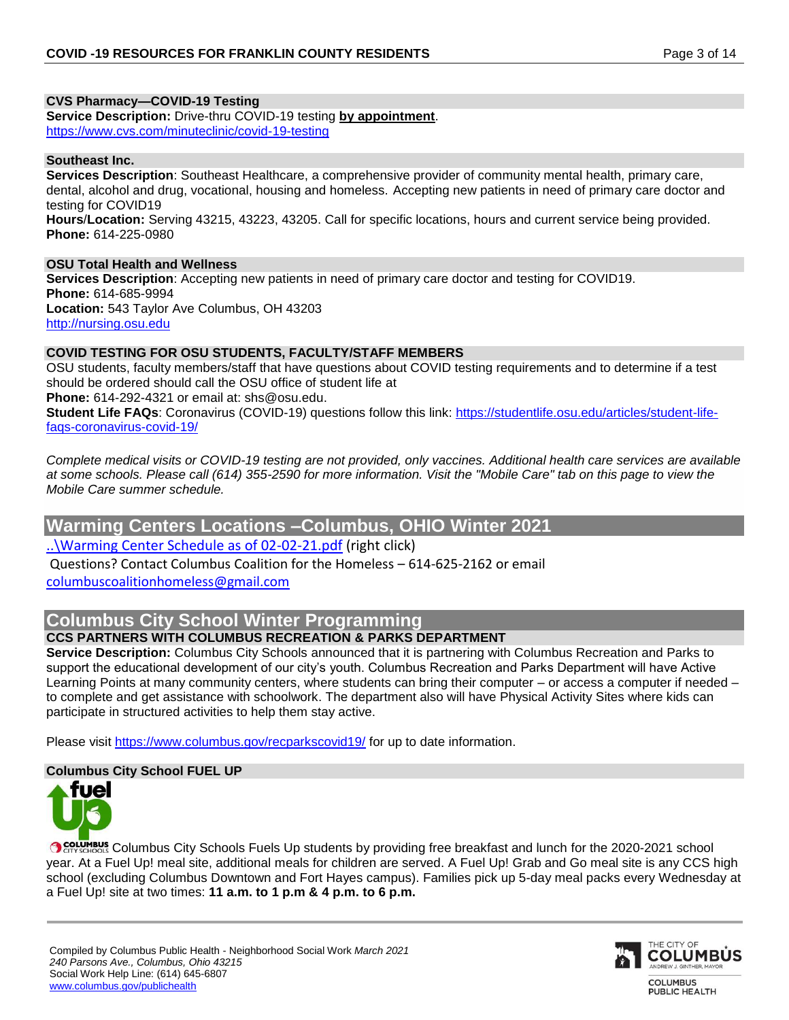# **CVS Pharmacy—COVID-19 Testing**

**Service Description:** Drive-thru COVID-19 testing **by appointment**. <https://www.cvs.com/minuteclinic/covid-19-testing>

#### **Southeast Inc.**

**Services Description**: Southeast Healthcare, a comprehensive provider of community mental health, primary care, dental, alcohol and drug, vocational, housing and homeless. Accepting new patients in need of primary care doctor and testing for COVID19 **Hours**/**Location:** Serving 43215, 43223, 43205. Call for specific locations, hours and current service being provided. **Phone:** 614-225-0980

#### **OSU Total Health and Wellness**

**Services Description**: Accepting new patients in need of primary care doctor and testing for COVID19. **Phone:** 614-685-9994 **Location:** 543 Taylor Ave Columbus, OH 43203 [http://nursing.osu.edu](http://nursing.osu.edu/)

# **COVID TESTING FOR OSU STUDENTS, FACULTY/STAFF MEMBERS**

OSU students, faculty members/staff that have questions about COVID testing requirements and to determine if a test should be ordered should call the OSU office of student life at **Phone:** 614-292-4321 or email at: shs@osu.edu.

**Student Life FAQs**: Coronavirus (COVID-19) questions follow this link: [https://studentlife.osu.edu/articles/student-life](https://studentlife.osu.edu/articles/student-life-faqs-coronavirus-covid-19/)[faqs-coronavirus-covid-19/](https://studentlife.osu.edu/articles/student-life-faqs-coronavirus-covid-19/)

*Complete medical visits or COVID-19 testing are not provided, only vaccines. Additional health care services are available at some schools. Please call (614) 355-2590 for more information. Visit the "Mobile Care" tab on this page to view the Mobile Care summer schedule.*

# **Warming Centers Locations –Columbus, OHIO Winter 2021**

[..\Warming Center Schedule as of 02-02-21.pdf](file:///C:/Users/muabdi-harroud/Desktop/Warming%20Center%20Schedule%20as%20of%2002-02-21.pdf) (right click)

Questions? Contact Columbus Coalition for the Homeless – 614-625-2162 or email [columbuscoalitionhomeless@gmail.com](mailto:columbuscoalitionhomeless@gmail.com)

# **Columbus City School Winter Programming**

# **CCS PARTNERS WITH COLUMBUS RECREATION & PARKS DEPARTMENT**

**Service Description:** Columbus City Schools announced that it is partnering with Columbus Recreation and Parks to support the educational development of our city's youth. Columbus Recreation and Parks Department will have Active Learning Points at many community centers, where students can bring their computer – or access a computer if needed – to complete and get assistance with schoolwork. The department also will have Physical Activity Sites where kids can participate in structured activities to help them stay active.

Please visit<https://www.columbus.gov/recparkscovid19/> for up to date information.

# **Columbus City School FUEL UP**



COLUMBUS Columbus City Schools Fuels Up students by providing free breakfast and lunch for the 2020-2021 school year. At a Fuel Up! meal site, additional meals for children are served. A Fuel Up! Grab and Go meal site is any CCS high school (excluding Columbus Downtown and Fort Hayes campus). Families pick up 5-day meal packs every Wednesday at a Fuel Up! site at two times: **11 a.m. to 1 p.m & 4 p.m. to 6 p.m.** 

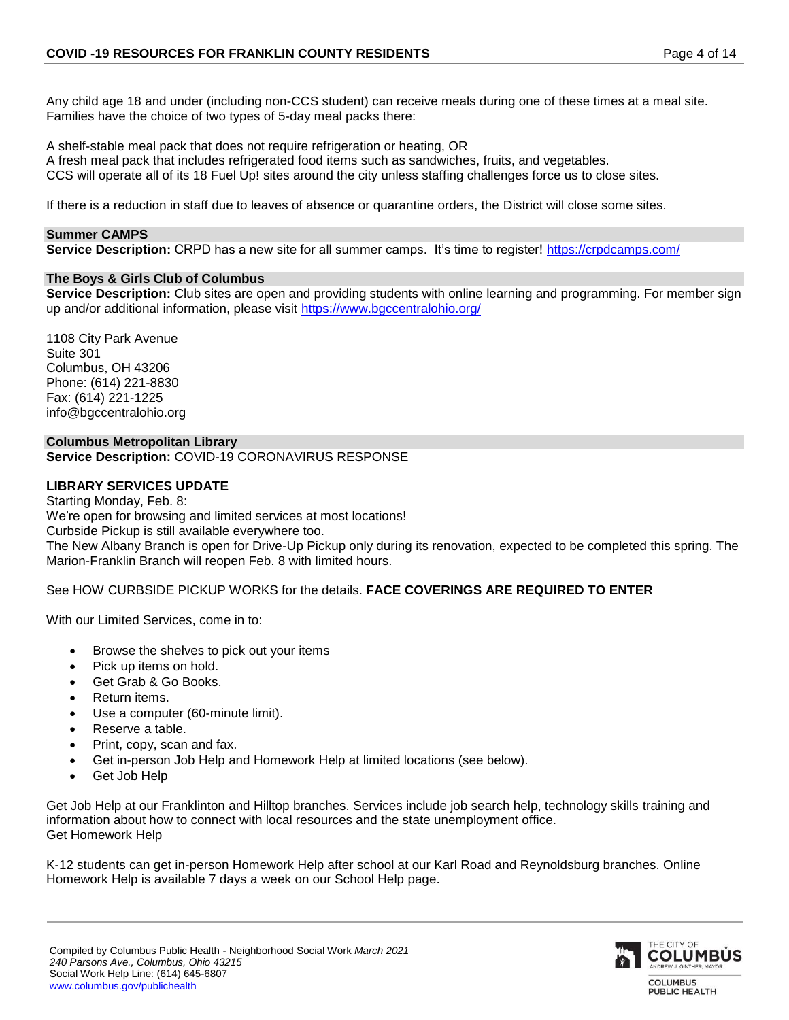Any child age 18 and under (including non-CCS student) can receive meals during one of these times at a meal site. Families have the choice of two types of 5-day meal packs there:

A shelf-stable meal pack that does not require refrigeration or heating, OR A fresh meal pack that includes refrigerated food items such as sandwiches, fruits, and vegetables. CCS will operate all of its 18 Fuel Up! sites around the city unless staffing challenges force us to close sites.

If there is a reduction in staff due to leaves of absence or quarantine orders, the District will close some sites.

#### **Summer CAMPS**

**Service Description:** CRPD has a new site for all summer camps. It's time to register!<https://crpdcamps.com/>

#### **The Boys & Girls Club of Columbus**

**Service Description:** Club sites are open and providing students with online learning and programming. For member sign up and/or additional information, please visit<https://www.bgccentralohio.org/>

1108 City Park Avenue Suite 301 Columbus, OH 43206 Phone: (614) 221-8830 Fax: (614) 221-1225 info@bgccentralohio.org

#### **Columbus Metropolitan Library**

**Service Description:** COVID-19 CORONAVIRUS RESPONSE

#### **LIBRARY SERVICES UPDATE**

Starting Monday, Feb. 8: We're open for browsing and limited services at most locations! Curbside Pickup is still available everywhere too. The New Albany Branch is open for Drive-Up Pickup only during its renovation, expected to be completed this spring. The Marion-Franklin Branch will reopen Feb. 8 with limited hours.

See HOW CURBSIDE PICKUP WORKS for the details. **FACE COVERINGS ARE REQUIRED TO ENTER**

With our Limited Services, come in to:

- Browse the shelves to pick out your items
- Pick up items on hold.
- Get Grab & Go Books.
- Return items.
- Use a computer (60-minute limit).
- Reserve a table.
- Print, copy, scan and fax.
- Get in-person Job Help and Homework Help at limited locations (see below).
- Get Job Help

Get Job Help at our Franklinton and Hilltop branches. Services include job search help, technology skills training and information about how to connect with local resources and the state unemployment office. Get Homework Help

K-12 students can get in-person Homework Help after school at our Karl Road and Reynoldsburg branches. Online Homework Help is available 7 days a week on our School Help page.

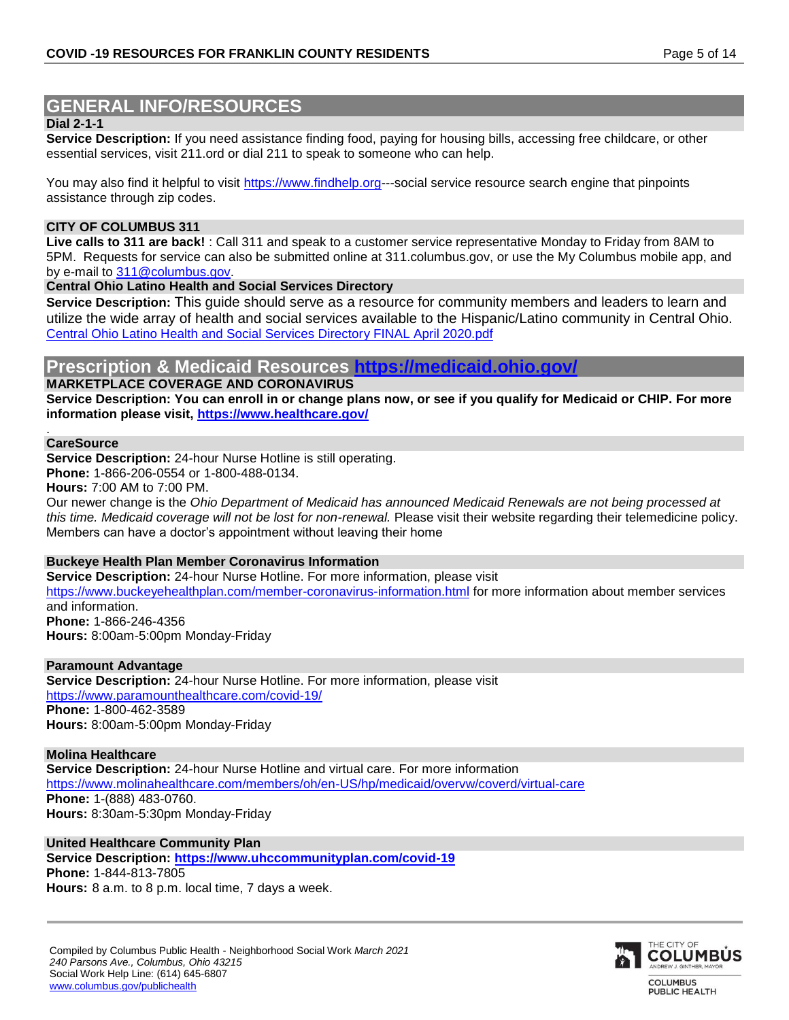# **GENERAL INFO/RESOURCES**

#### **Dial 2-1-1**

**Service Description:** If you need assistance finding food, paying for housing bills, accessing free childcare, or other essential services, visit 211.ord or dial 211 to speak to someone who can help.

You may also find it helpful to visit [https://www.findhelp.org-](https://www.findhelp.org/)--social service resource search engine that pinpoints assistance through zip codes.

#### **CITY OF COLUMBUS 311**

**Live calls to 311 are back!** : Call 311 and speak to a customer service representative Monday to Friday from 8AM to 5PM. Requests for service can also be submitted online at 311.columbus.gov, or use the My Columbus mobile app, and by e-mail to [311@columbus.gov.](mailto:311@columbus.gov)

**Central Ohio Latino Health and Social Services Directory**

**Service Description:** This guide should serve as a resource for community members and leaders to learn and utilize the wide array of health and social services available to the Hispanic/Latino community in Central Ohio. [Central Ohio Latino Health and Social Services Directory FINAL April 2020.pdf](file:///C:/Users/muabdi-harroud/Desktop/Central%20Ohio%20Latino%20Health%20and%20Social%20Services%20Directory%20FINAL%20April%202020.pdf)

# **Prescription & Medicaid Resources <https://medicaid.ohio.gov/>**

**MARKETPLACE COVERAGE AND CORONAVIRUS**

**Service Description: You can enroll in or change plans now, or see if you qualify for Medicaid or CHIP. For more information please visit,<https://www.healthcare.gov/>**

#### **CareSource**

.

**Service Description:** 24-hour Nurse Hotline is still operating.

**Phone:** 1-866-206-0554 or 1-800-488-0134.

**Hours:** 7:00 AM to 7:00 PM.

Our newer change is the *Ohio Department of Medicaid has announced Medicaid Renewals are not being processed at this time. Medicaid coverage will not be lost for non-renewal.* Please visit their website regarding their telemedicine policy. Members can have a doctor's appointment without leaving their home

#### **Buckeye Health Plan Member Coronavirus Information**

**Service Description:** 24-hour Nurse Hotline. For more information, please visit <https://www.buckeyehealthplan.com/member-coronavirus-information.html> for more information about member services and information. **Phone:** 1-866-246-4356

**Hours:** 8:00am-5:00pm Monday-Friday

#### **Paramount Advantage**

**Service Description:** 24-hour Nurse Hotline. For more information, please visit <https://www.paramounthealthcare.com/covid-19/> **Phone:** 1-800-462-3589 **Hours:** 8:00am-5:00pm Monday-Friday

**Molina Healthcare Service Description:** 24-hour Nurse Hotline and virtual care. For more information <https://www.molinahealthcare.com/members/oh/en-US/hp/medicaid/overvw/coverd/virtual-care> **Phone:** 1-(888) 483-0760. **Hours:** 8:30am-5:30pm Monday-Friday

**United Healthcare Community Plan**

**Service Description: <https://www.uhccommunityplan.com/covid-19> Phone:** 1-844-813-7805 **Hours:** 8 a.m. to 8 p.m. local time, 7 days a week.

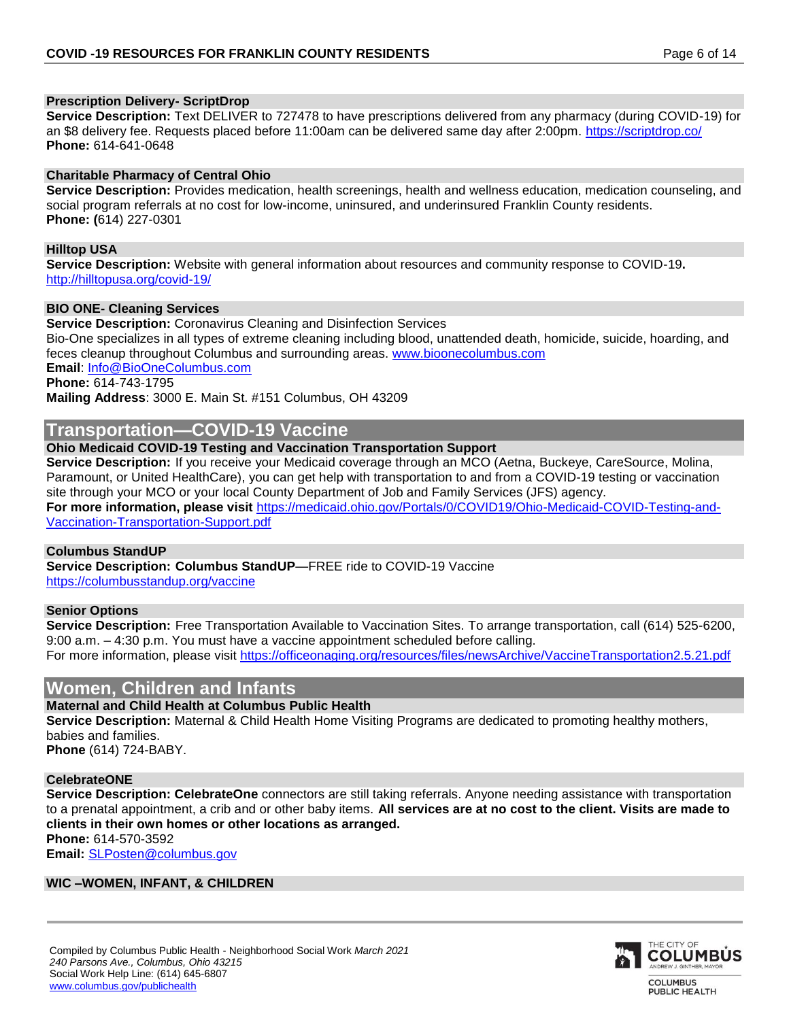#### **Prescription Delivery- ScriptDrop**

**Service Description:** Text DELIVER to 727478 to have prescriptions delivered from any pharmacy (during COVID-19) for an \$8 delivery fee. Requests placed before 11:00am can be delivered same day after 2:00pm.<https://scriptdrop.co/> **Phone:** 614-641-0648

#### **Charitable Pharmacy of Central Ohio**

**Service Description:** Provides medication, health screenings, health and wellness education, medication counseling, and social program referrals at no cost for low-income, uninsured, and underinsured Franklin County residents. **Phone: (**614) 227-0301

#### **Hilltop USA**

**Service Description:** Website with general information about resources and community response to COVID-19**.** <http://hilltopusa.org/covid-19/>

#### **BIO ONE- Cleaning Services**

**Service Description:** Coronavirus Cleaning and Disinfection Services Bio-One specializes in all types of extreme cleaning including blood, unattended death, homicide, suicide, hoarding, and feces cleanup throughout Columbus and surrounding areas. [www.bioonecolumbus.com](http://www.bioonecolumbus.com/) **Email**: [Info@BioOneColumbus.com](mailto:Info@BioOneColumbus.com)

# **Phone:** 614-743-1795

**Mailing Address**: 3000 E. Main St. #151 Columbus, OH 43209

# **Transportation—COVID-19 Vaccine**

#### **Ohio Medicaid COVID-19 Testing and Vaccination Transportation Support**

**Service Description:** If you receive your Medicaid coverage through an MCO (Aetna, Buckeye, CareSource, Molina, Paramount, or United HealthCare), you can get help with transportation to and from a COVID-19 testing or vaccination site through your MCO or your local County Department of Job and Family Services (JFS) agency. **For more information, please visit** [https://medicaid.ohio.gov/Portals/0/COVID19/Ohio-Medicaid-COVID-Testing-and-](https://medicaid.ohio.gov/Portals/0/COVID19/Ohio-Medicaid-COVID-Testing-and-Vaccination-Transportation-Support.pdf)[Vaccination-Transportation-Support.pdf](https://medicaid.ohio.gov/Portals/0/COVID19/Ohio-Medicaid-COVID-Testing-and-Vaccination-Transportation-Support.pdf)

#### **Columbus StandUP**

**Service Description: Columbus StandUP**—FREE ride to COVID-19 Vaccine <https://columbusstandup.org/vaccine>

#### **Senior Options**

**Service Description:** Free Transportation Available to Vaccination Sites. To arrange transportation, call (614) 525-6200, 9:00 a.m. – 4:30 p.m. You must have a vaccine appointment scheduled before calling. For more information, please visit<https://officeonaging.org/resources/files/newsArchive/VaccineTransportation2.5.21.pdf>

# **Women, Children and Infants**

#### **Maternal and Child Health at Columbus Public Health**

**Service Description:** Maternal & Child Health Home Visiting Programs are dedicated to promoting healthy mothers, babies and families. **Phone** (614) 724-BABY.

## **CelebrateONE**

**Service Description: CelebrateOne** connectors are still taking referrals. Anyone needing assistance with transportation to a prenatal appointment, a crib and or other baby items. **All services are at no cost to the client. Visits are made to clients in their own homes or other locations as arranged. Phone:** 614-570-3592

**Email:** [SLPosten@columbus.gov](mailto:SLPosten@columbus.gov)

#### **WIC –WOMEN, INFANT, & CHILDREN**

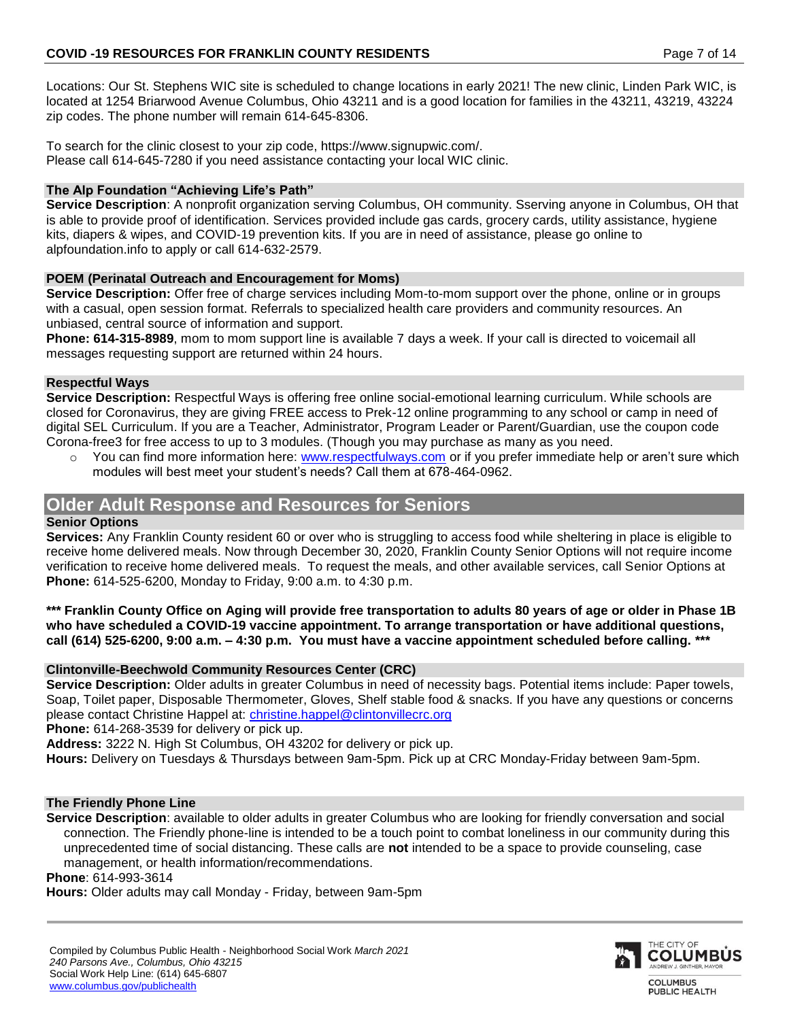Locations: Our St. Stephens WIC site is scheduled to change locations in early 2021! The new clinic, Linden Park WIC, is located at 1254 Briarwood Avenue Columbus, Ohio 43211 and is a good location for families in the 43211, 43219, 43224 zip codes. The phone number will remain 614-645-8306.

To search for the clinic closest to your zip code, https://www.signupwic.com/. Please call 614-645-7280 if you need assistance contacting your local WIC clinic.

# **The Alp Foundation "Achieving Life's Path"**

**Service Description**: A nonprofit organization serving Columbus, OH community. Sserving anyone in Columbus, OH that is able to provide proof of identification. Services provided include gas cards, grocery cards, utility assistance, hygiene kits, diapers & wipes, and COVID-19 prevention kits. If you are in need of assistance, please go online to alpfoundation.info to apply or call 614-632-2579.

# **POEM (Perinatal Outreach and Encouragement for Moms)**

**Service Description:** Offer free of charge services including Mom-to-mom support over the phone, online or in groups with a casual, open session format. Referrals to specialized health care providers and community resources. An unbiased, central source of information and support.

**Phone: 614-315-8989**, mom to mom support line is available 7 days a week. If your call is directed to voicemail all messages requesting support are returned within 24 hours.

# **Respectful Ways**

**Service Description:** Respectful Ways is offering free online social-emotional learning curriculum. While schools are closed for Coronavirus, they are giving FREE access to Prek-12 online programming to any school or camp in need of digital SEL Curriculum. If you are a Teacher, Administrator, Program Leader or Parent/Guardian, use the coupon code Corona-free3 for free access to up to 3 modules. (Though you may purchase as many as you need.

o You can find more information here: [www.respectfulways.com](http://www.respectfulways.com/) or if you prefer immediate help or aren't sure which modules will best meet your student's needs? Call them at 678-464-0962.

# **Older Adult Response and Resources for Seniors**

# **Senior Options**

**Services:** Any Franklin County resident 60 or over who is struggling to access food while sheltering in place is eligible to receive home delivered meals. Now through December 30, 2020, Franklin County Senior Options will not require income verification to receive home delivered meals. To request the meals, and other available services, call Senior Options at **Phone:** 614-525-6200, Monday to Friday, 9:00 a.m. to 4:30 p.m.

**\*\*\* Franklin County Office on Aging will provide free transportation to adults 80 years of age or older in Phase 1B who have scheduled a COVID-19 vaccine appointment. To arrange transportation or have additional questions, call (614) 525-6200, 9:00 a.m. – 4:30 p.m. You must have a vaccine appointment scheduled before calling. \*\*\***

# **Clintonville-Beechwold Community Resources Center (CRC)**

**Service Description:** Older adults in greater Columbus in need of necessity bags. Potential items include: Paper towels, Soap, Toilet paper, Disposable Thermometer, Gloves, Shelf stable food & snacks. If you have any questions or concerns please contact Christine Happel at: [christine.happel@clintonvillecrc.org](mailto:christine.happel@clintonvillecrc.org)

**Phone:** 614-268-3539 for delivery or pick up.

**Address:** 3222 N. High St Columbus, OH 43202 for delivery or pick up.

**Hours:** Delivery on Tuesdays & Thursdays between 9am-5pm. Pick up at CRC Monday-Friday between 9am-5pm.

# **The Friendly Phone Line**

**Service Description**: available to older adults in greater Columbus who are looking for friendly conversation and social connection. The Friendly phone-line is intended to be a touch point to combat loneliness in our community during this unprecedented time of social distancing. These calls are **not** intended to be a space to provide counseling, case management, or health information/recommendations.

#### **Phone**: 614-993-3614

**Hours:** Older adults may call Monday - Friday, between 9am-5pm

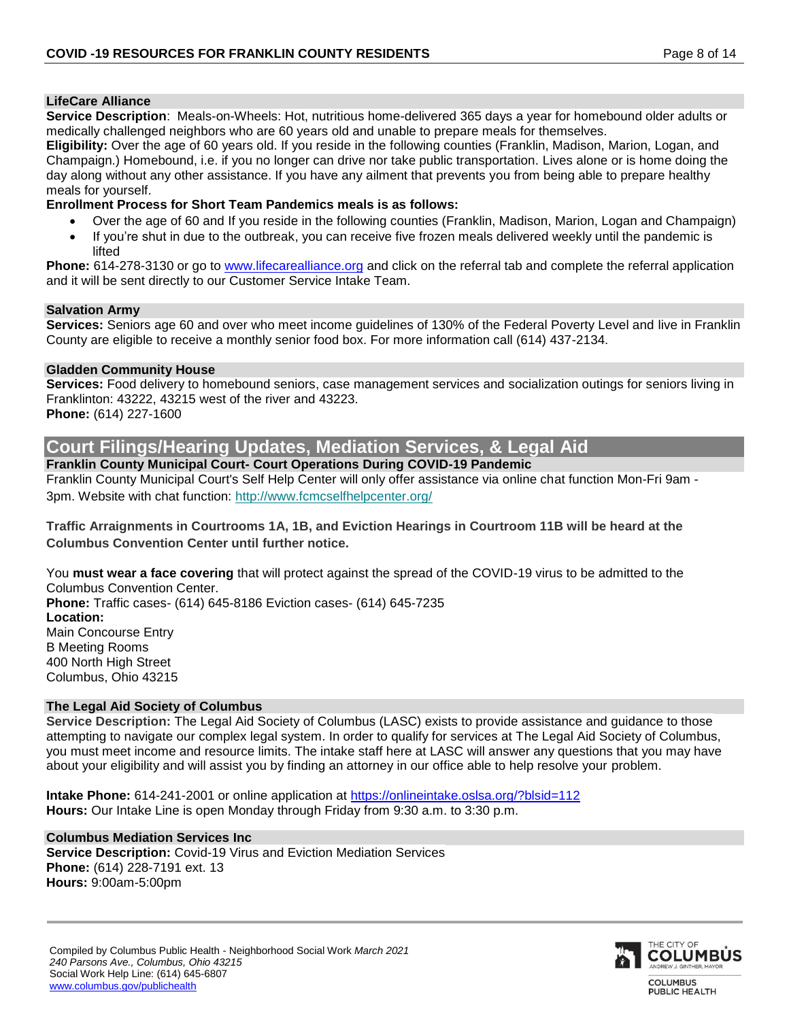#### **LifeCare Alliance**

**Service Description**: Meals-on-Wheels: Hot, nutritious home-delivered 365 days a year for homebound older adults or medically challenged neighbors who are 60 years old and unable to prepare meals for themselves.

**Eligibility:** Over the age of 60 years old. If you reside in the following counties (Franklin, Madison, Marion, Logan, and Champaign.) Homebound, i.e. if you no longer can drive nor take public transportation. Lives alone or is home doing the day along without any other assistance. If you have any ailment that prevents you from being able to prepare healthy meals for yourself.

#### **Enrollment Process for Short Team Pandemics meals is as follows:**

- Over the age of 60 and If you reside in the following counties (Franklin, Madison, Marion, Logan and Champaign)
- If you're shut in due to the outbreak, you can receive five frozen meals delivered weekly until the pandemic is lifted

**Phone:** 614-278-3130 or go to [www.lifecarealliance.org](http://www.lifecarealliance.org/) and click on the referral tab and complete the referral application and it will be sent directly to our Customer Service Intake Team.

#### **Salvation Army**

**Services:** Seniors age 60 and over who meet income guidelines of 130% of the Federal Poverty Level and live in Franklin County are eligible to receive a monthly senior food box. For more information call (614) 437-2134.

## **Gladden Community House**

**Services:** Food delivery to homebound seniors, case management services and socialization outings for seniors living in Franklinton: 43222, 43215 west of the river and 43223. **Phone:** (614) 227-1600

# **Court Filings/Hearing Updates, Mediation Services, & Legal Aid**

**Franklin County Municipal Court- Court Operations During COVID-19 Pandemic** Franklin County Municipal Court's Self Help Center will only offer assistance via online chat function Mon-Fri 9am - 3pm. Website with chat function: [http://www.fcmcselfhelpcenter.org/](https://nationwidechildrens.us4.list-manage.com/track/click?u=d9b519b0e779595bba9186f6d&id=5e7ba849da&e=32fbda5355)

**Traffic Arraignments in Courtrooms 1A, 1B, and Eviction Hearings in Courtroom 11B will be heard at the Columbus Convention Center until further notice.** 

You **must wear a face covering** that will protect against the spread of the COVID-19 virus to be admitted to the Columbus Convention Center. **Phone:** Traffic cases- (614) 645-8186 Eviction cases- (614) 645-7235 **Location:**  Main Concourse Entry B Meeting Rooms 400 North High Street Columbus, Ohio 43215

# **The Legal Aid Society of Columbus**

**Service Description:** The Legal Aid Society of Columbus (LASC) exists to provide assistance and guidance to those attempting to navigate our complex legal system. In order to qualify for services at The Legal Aid Society of Columbus, you must meet income and resource limits. The intake staff here at LASC will answer any questions that you may have about your eligibility and will assist you by finding an attorney in our office able to help resolve your problem.

**Intake Phone:** 614-241-2001 or online application at<https://onlineintake.oslsa.org/?blsid=112> **Hours:** Our Intake Line is open Monday through Friday from 9:30 a.m. to 3:30 p.m.

#### **Columbus Mediation Services Inc**

**Service Description:** Covid-19 Virus and Eviction Mediation Services **Phone:** (614) 228-7191 ext. 13 **Hours:** 9:00am-5:00pm

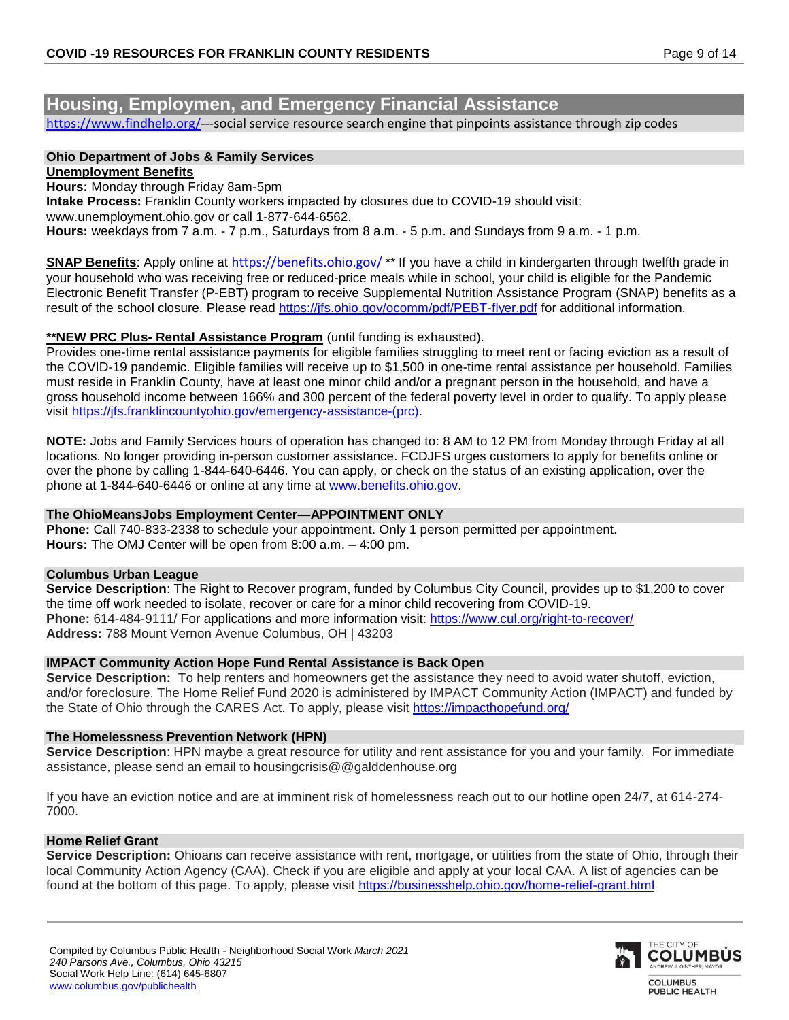# **Housing, Employmen, and Emergency Financial Assistance**

[https://www.findhelp.org/-](https://www.findhelp.org/)--social service resource search engine that pinpoints assistance through zip codes

#### **Ohio Department of Jobs & Family Services Unemployment Benefits**

**Hours:** Monday through Friday 8am-5pm

**Intake Process:** Franklin County workers impacted by closures due to COVID-19 should visit: www.unemployment.ohio.gov or call 1-877-644-6562.

**Hours:** weekdays from 7 a.m. - 7 p.m., Saturdays from 8 a.m. - 5 p.m. and Sundays from 9 a.m. - 1 p.m.

**SNAP Benefits**: Apply online at <https://benefits.ohio.gov/> \*\* If you have a child in kindergarten through twelfth grade in your household who was receiving free or reduced-price meals while in school, your child is eligible for the Pandemic Electronic Benefit Transfer (P-EBT) program to receive Supplemental Nutrition Assistance Program (SNAP) benefits as a result of the school closure. Please read<https://jfs.ohio.gov/ocomm/pdf/PEBT-flyer.pdf> for additional information.

## **\*\*NEW PRC Plus- Rental Assistance Program** (until funding is exhausted).

Provides one-time rental assistance payments for eligible families struggling to meet rent or facing eviction as a result of the COVID-19 pandemic. Eligible families will receive up to \$1,500 in one-time rental assistance per household. Families must reside in Franklin County, have at least one minor child and/or a pregnant person in the household, and have a gross household income between 166% and 300 percent of the federal poverty level in order to qualify. To apply please visit [https://jfs.franklincountyohio.gov/emergency-assistance-\(prc\).](https://jfs.franklincountyohio.gov/emergency-assistance-(prc))

**NOTE:** Jobs and Family Services hours of operation has changed to: 8 AM to 12 PM from Monday through Friday at all locations. No longer providing in-person customer assistance. FCDJFS urges customers to apply for benefits online or over the phone by calling 1-844-640-6446. You can apply, or check on the status of an existing application, over the phone at 1-844-640-6446 or online at any time at [www.benefits.ohio.gov.](http://www.benefits.ohio.gov/)

#### **The OhioMeansJobs Employment Center—APPOINTMENT ONLY**

**Phone:** Call 740-833-2338 to schedule your appointment. Only 1 person permitted per appointment. **Hours:** The OMJ Center will be open from 8:00 a.m. – 4:00 pm.

#### **Columbus Urban League**

**Service Description**: The Right to Recover program, funded by Columbus City Council, provides up to \$1,200 to cover the time off work needed to isolate, recover or care for a minor child recovering from COVID-19. **Phone:** 614-484-9111/ For applications and more information visit:<https://www.cul.org/right-to-recover/> **Address:** 788 Mount Vernon Avenue Columbus, OH | 43203

#### **IMPACT Community Action Hope Fund Rental Assistance is Back Open**

**Service Description:** To help renters and homeowners get the assistance they need to avoid water shutoff, eviction, and/or foreclosure. The Home Relief Fund 2020 is administered by IMPACT Community Action (IMPACT) and funded by the State of Ohio through the CARES Act. To apply, please visit<https://impacthopefund.org/>

#### **The Homelessness Prevention Network (HPN)**

**Service Description**: HPN maybe a great resource for utility and rent assistance for you and your family. For immediate assistance, please send an email to housingcrisis@@galddenhouse.org

If you have an eviction notice and are at imminent risk of homelessness reach out to our hotline open 24/7, at 614-274- 7000.

#### **Home Relief Grant**

**Service Description:** Ohioans can receive assistance with rent, mortgage, or utilities from the state of Ohio, through their local Community Action Agency (CAA). Check if you are eligible and apply at your local CAA. A list of agencies can be found at the bottom of this page. To apply, please visit<https://businesshelp.ohio.gov/home-relief-grant.html>

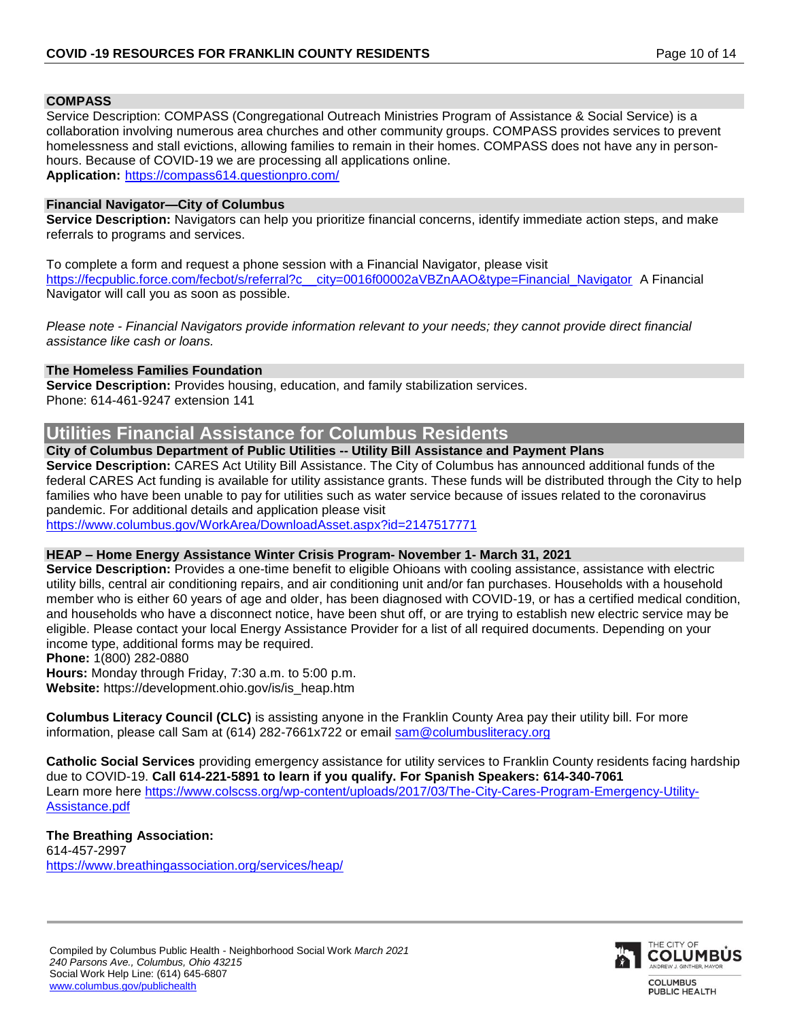#### **COMPASS**

Service Description: COMPASS (Congregational Outreach Ministries Program of Assistance & Social Service) is a collaboration involving numerous area churches and other community groups. COMPASS provides services to prevent homelessness and stall evictions, allowing families to remain in their homes. COMPASS does not have any in personhours. Because of COVID-19 we are processing all applications online. **Application:** <https://compass614.questionpro.com/>

#### **Financial Navigator—City of Columbus**

**Service Description:** Navigators can help you prioritize financial concerns, identify immediate action steps, and make referrals to programs and services.

To complete a form and request a phone session with a Financial Navigator, please visit https://fecpublic.force.com/fecbot/s/referral?c city=0016f00002aVBZnAAO&type=Financial\_Navigator A Financial Navigator will call you as soon as possible.

*Please note - Financial Navigators provide information relevant to your needs; they cannot provide direct financial assistance like cash or loans.*

#### **The Homeless Families Foundation**

**Service Description:** Provides housing, education, and family stabilization services. Phone: 614-461-9247 extension 141

# **Utilities Financial Assistance for Columbus Residents**

#### **City of Columbus Department of Public Utilities -- Utility Bill Assistance and Payment Plans**

**Service Description:** CARES Act Utility Bill Assistance. The City of Columbus has announced additional funds of the federal CARES Act funding is available for utility assistance grants. These funds will be distributed through the City to help families who have been unable to pay for utilities such as water service because of issues related to the coronavirus pandemic. For additional details and application please visit

<https://www.columbus.gov/WorkArea/DownloadAsset.aspx?id=2147517771>

#### **HEAP – Home Energy Assistance Winter Crisis Program- November 1- March 31, 2021**

**Service Description:** Provides a one-time benefit to eligible Ohioans with cooling assistance, assistance with electric utility bills, central air conditioning repairs, and air conditioning unit and/or fan purchases. Households with a household member who is either 60 years of age and older, has been diagnosed with COVID-19, or has a certified medical condition, and households who have a disconnect notice, have been shut off, or are trying to establish new electric service may be eligible. Please contact your local Energy Assistance Provider for a list of all required documents. Depending on your income type, additional forms may be required.

**Phone:** 1(800) 282-0880

**Hours:** Monday through Friday, 7:30 a.m. to 5:00 p.m. **Website:** [https://development.ohio.gov/is/is\\_heap.htm](https://development.ohio.gov/is/is_heap.htm)

**Columbus Literacy Council (CLC)** is assisting anyone in the Franklin County Area pay their utility bill. For more information, please call Sam at (614) 282-7661x722 or email [sam@columbusliteracy.org](mailto:sam@columbusliteracy.org)

**Catholic Social Services** providing emergency assistance for utility services to Franklin County residents facing hardship due to COVID-19. **Call 614-221-5891 to learn if you qualify. For Spanish Speakers: 614-340-7061** Learn more here [https://www.colscss.org/wp-content/uploads/2017/03/The-City-Cares-Program-Emergency-Utility-](https://www.colscss.org/wp-content/uploads/2017/03/The-City-Cares-Program-Emergency-Utility-Assistance.pdf)[Assistance.pdf](https://www.colscss.org/wp-content/uploads/2017/03/The-City-Cares-Program-Emergency-Utility-Assistance.pdf)

## **The Breathing Association:**

614-457-2997 <https://www.breathingassociation.org/services/heap/>

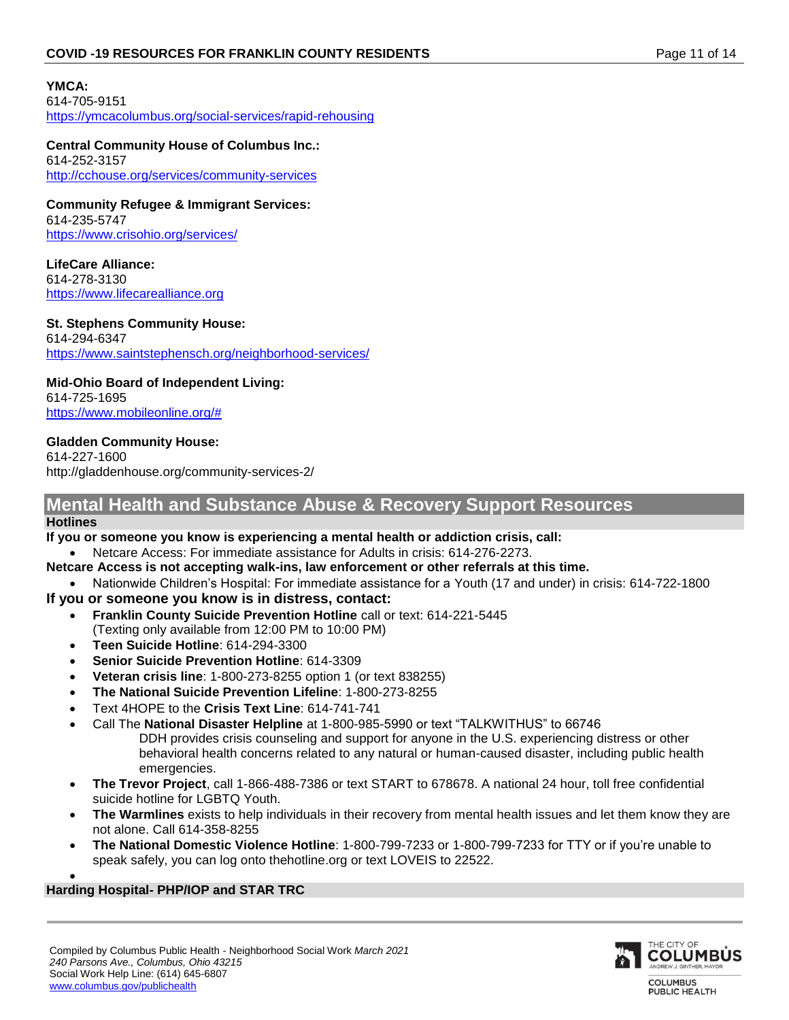# **YMCA:**

614-705-9151 <https://ymcacolumbus.org/social-services/rapid-rehousing>

**Central Community House of Columbus Inc.:** 614-252-3157 <http://cchouse.org/services/community-services>

**Community Refugee & Immigrant Services:** 614-235-5747 <https://www.crisohio.org/services/>

**LifeCare Alliance:** 614-278-3130 [https://www.lifecarealliance.org](https://www.lifecarealliance.org/) 

## **St. Stephens Community House:**

614-294-6347 <https://www.saintstephensch.org/neighborhood-services/>

# **Mid-Ohio Board of Independent Living:**

614-725-1695 [https://www.mobileonline.org/#](https://www.mobileonline.org/)

# **Gladden Community House:**

614-227-1600 http://gladdenhouse.org/community-services-2/

# **Mental Health and Substance Abuse & Recovery Support Resources**

## **Hotlines**

**If you or someone you know is experiencing a mental health or addiction crisis, call:**

- Netcare Access: For immediate assistance for Adults in crisis: 614-276-2273.
- **Netcare Access is not accepting walk-ins, law enforcement or other referrals at this time.**
	- Nationwide Children's Hospital: For immediate assistance for a Youth (17 and under) in crisis: 614-722-1800

# **If you or someone you know is in distress, contact:**

- **Franklin County Suicide Prevention Hotline** call or text: 614-221-5445
- (Texting only available from 12:00 PM to 10:00 PM) **Teen Suicide Hotline**: 614-294-3300
- **Senior Suicide Prevention Hotline**: 614-3309
- **Veteran crisis line**: 1-800-273-8255 option 1 (or text 838255)
- 
- **The National Suicide Prevention Lifeline**: 1-800-273-8255
- Text 4HOPE to the **Crisis Text Line**: 614-741-741
- Call The **National Disaster Helpline** at 1-800-985-5990 or text "TALKWITHUS" to 66746 DDH provides crisis counseling and support for anyone in the U.S. experiencing distress or other
	- behavioral health concerns related to any natural or human-caused disaster, including public health emergencies.
- **The Trevor Project**, call 1-866-488-7386 or text START to 678678. A national 24 hour, toll free confidential suicide hotline for LGBTQ Youth.
- **The Warmlines** exists to help individuals in their recovery from mental health issues and let them know they are not alone. Call 614-358-8255
- **The National Domestic Violence Hotline**: 1-800-799-7233 or 1-800-799-7233 for TTY or if you're unable to speak safely, you can log onto thehotline.org or text LOVEIS to 22522.

#### $\bullet$ **Harding Hospital- PHP/IOP and STAR TRC**

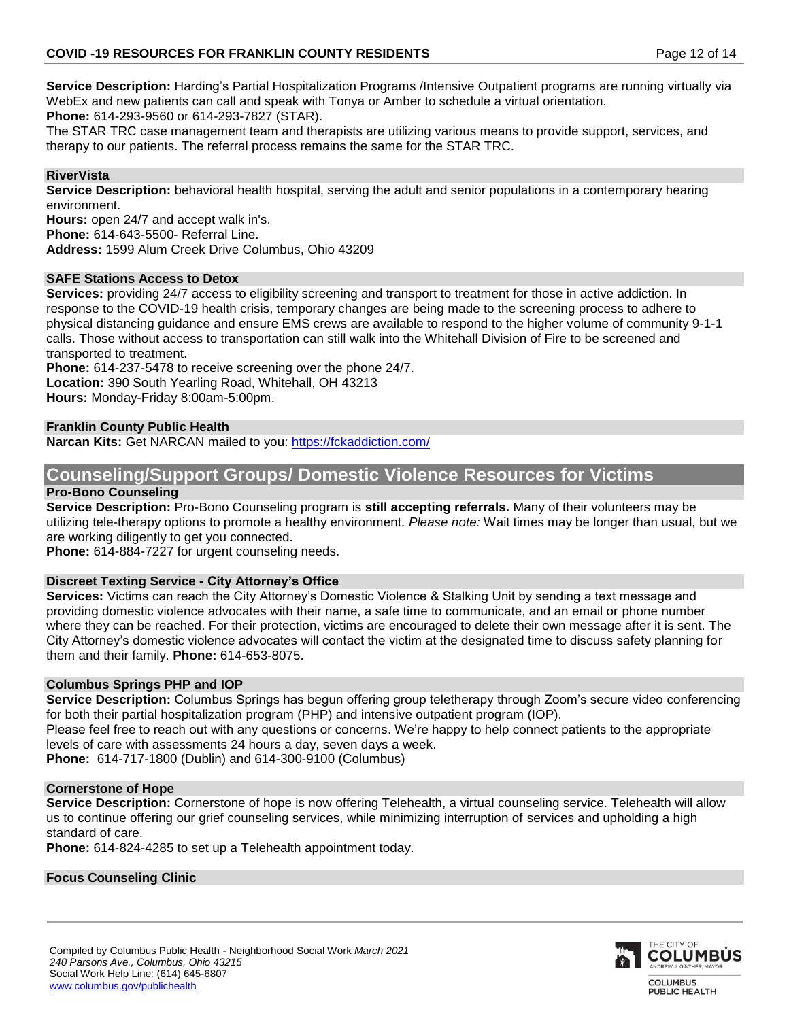**Service Description:** Harding's Partial Hospitalization Programs /Intensive Outpatient programs are running virtually via WebEx and new patients can call and speak with Tonya or Amber to schedule a virtual orientation. **Phone:** 614-293-9560 or 614-293-7827 (STAR).

The STAR TRC case management team and therapists are utilizing various means to provide support, services, and therapy to our patients. The referral process remains the same for the STAR TRC.

# **RiverVista**

**Service Description:** behavioral health hospital, serving the adult and senior populations in a contemporary hearing environment.

**Hours:** open 24/7 and accept walk in's.

**Phone:** 614-643-5500- Referral Line.

**Address:** 1599 Alum Creek Drive Columbus, Ohio 43209

## **SAFE Stations Access to Detox**

**Services:** providing 24/7 access to eligibility screening and transport to treatment for those in active addiction. In response to the COVID-19 health crisis, temporary changes are being made to the screening process to adhere to physical distancing guidance and ensure EMS crews are available to respond to the higher volume of community 9-1-1 calls. Those without access to transportation can still walk into the Whitehall Division of Fire to be screened and transported to treatment.

**Phone:** 614-237-5478 to receive screening over the phone 24/7. **Location:** 390 South Yearling Road, Whitehall, OH 43213 **Hours:** Monday-Friday 8:00am-5:00pm.

# **Franklin County Public Health**

**Narcan Kits:** Get NARCAN mailed to you:<https://fckaddiction.com/>

# **Counseling/Support Groups/ Domestic Violence Resources for Victims**

# **Pro-Bono Counseling**

**Service Description:** Pro-Bono Counseling program is **still accepting referrals.** Many of their volunteers may be utilizing tele-therapy options to promote a healthy environment. *Please note:* Wait times may be longer than usual, but we are working diligently to get you connected.

**Phone:** 614-884-7227 for urgent counseling needs.

# **Discreet Texting Service - City Attorney's Office**

**Services:** Victims can reach the City Attorney's Domestic Violence & Stalking Unit by sending a text message and providing domestic violence advocates with their name, a safe time to communicate, and an email or phone number where they can be reached. For their protection, victims are encouraged to delete their own message after it is sent. The City Attorney's domestic violence advocates will contact the victim at the designated time to discuss safety planning for them and their family. **Phone:** 614-653-8075.

#### **Columbus Springs PHP and IOP**

**Service Description:** Columbus Springs has begun offering group teletherapy through Zoom's secure video conferencing for both their partial hospitalization program (PHP) and intensive outpatient program (IOP).

Please feel free to reach out with any questions or concerns. We're happy to help connect patients to the appropriate levels of care with assessments 24 hours a day, seven days a week.

**Phone:** 614-717-1800 (Dublin) and 614-300-9100 (Columbus)

# **Cornerstone of Hope**

**Service Description:** Cornerstone of hope is now offering Telehealth, a virtual counseling service. Telehealth will allow us to continue offering our grief counseling services, while minimizing interruption of services and upholding a high standard of care.

**Phone:** 614-824-4285 to set up a Telehealth appointment today.

# **Focus Counseling Clinic**

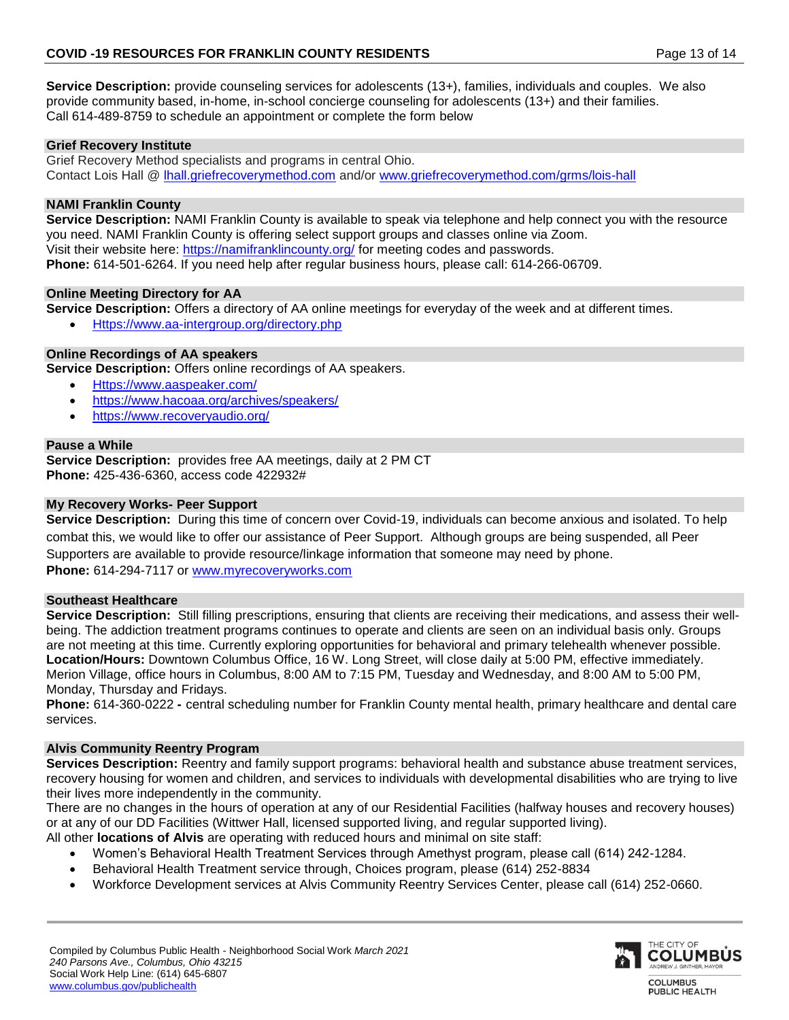**Service Description:** provide counseling services for adolescents (13+), families, individuals and couples. We also provide community based, in-home, in-school concierge counseling for adolescents (13+) and their families. Call 614-489-8759 to schedule an appointment or complete the form below

# **Grief Recovery Institute**

Grief Recovery Method specialists and programs in central Ohio. Contact Lois Hall @ [lhall.griefrecoverymethod.com](http://lhall.griefrecoverymethod.com/) and/or [www.griefrecoverymethod.com/grms/lois-hall](http://www.griefrecoverymethod.com/grms/lois-hall)

# **NAMI Franklin County**

**Service Description:** NAMI Franklin County is available to speak via telephone and help connect you with the resource you need. NAMI Franklin County is offering select support groups and classes online via Zoom. Visit their website here:<https://namifranklincounty.org/> for meeting codes and passwords. **Phone:** 614-501-6264. If you need help after regular business hours, please call: 614-266-06709.

# **Online Meeting Directory for AA**

**Service Description:** Offers a directory of AA online meetings for everyday of the week and at different times.

[Https://www.aa-intergroup.org/directory.php](https://www.aa-intergroup.org/directory.php)

# **Online Recordings of AA speakers**

**Service Description:** Offers online recordings of AA speakers.

- [Https://www.aaspeaker.com/](https://www.aaspeaker.com/)
- <https://www.hacoaa.org/archives/speakers/>
- <https://www.recoveryaudio.org/>

# **Pause a While**

**Service Description:** provides free AA meetings, daily at 2 PM CT **Phone:** 425-436-6360, access code 422932#

## **My Recovery Works- Peer Support**

**Service Description:** During this time of concern over Covid-19, individuals can become anxious and isolated. To help combat this, we would like to offer our assistance of Peer Support. Although groups are being suspended, all Peer Supporters are available to provide resource/linkage information that someone may need by phone. **Phone:** 614-294-7117 or [www.myrecoveryworks.com](http://www.myrecoveryworks.com/)

# **Southeast Healthcare**

**Service Description:** Still filling prescriptions, ensuring that clients are receiving their medications, and assess their wellbeing. The addiction treatment programs continues to operate and clients are seen on an individual basis only. Groups are not meeting at this time. Currently exploring opportunities for behavioral and primary telehealth whenever possible. **Location/Hours:** Downtown Columbus Office, 16 W. Long Street, will close daily at 5:00 PM, effective immediately. Merion Village, office hours in Columbus, 8:00 AM to 7:15 PM, Tuesday and Wednesday, and 8:00 AM to 5:00 PM, Monday, Thursday and Fridays.

**Phone:** 614-360-0222 **-** central scheduling number for Franklin County mental health, primary healthcare and dental care services.

# **Alvis Community Reentry Program**

**Services Description:** Reentry and family support programs: behavioral health and substance abuse treatment services, recovery housing for women and children, and services to individuals with developmental disabilities who are trying to live their lives more independently in the community.

There are no changes in the hours of operation at any of our Residential Facilities (halfway houses and recovery houses) or at any of our DD Facilities (Wittwer Hall, licensed supported living, and regular supported living).

All other **locations of Alvis** are operating with reduced hours and minimal on site staff:

- Women's Behavioral Health Treatment Services through Amethyst program, please call (614) 242-1284.
- Behavioral Health Treatment service through, Choices program, please (614) 252-8834
- Workforce Development services at Alvis Community Reentry Services Center, please call (614) 252-0660.

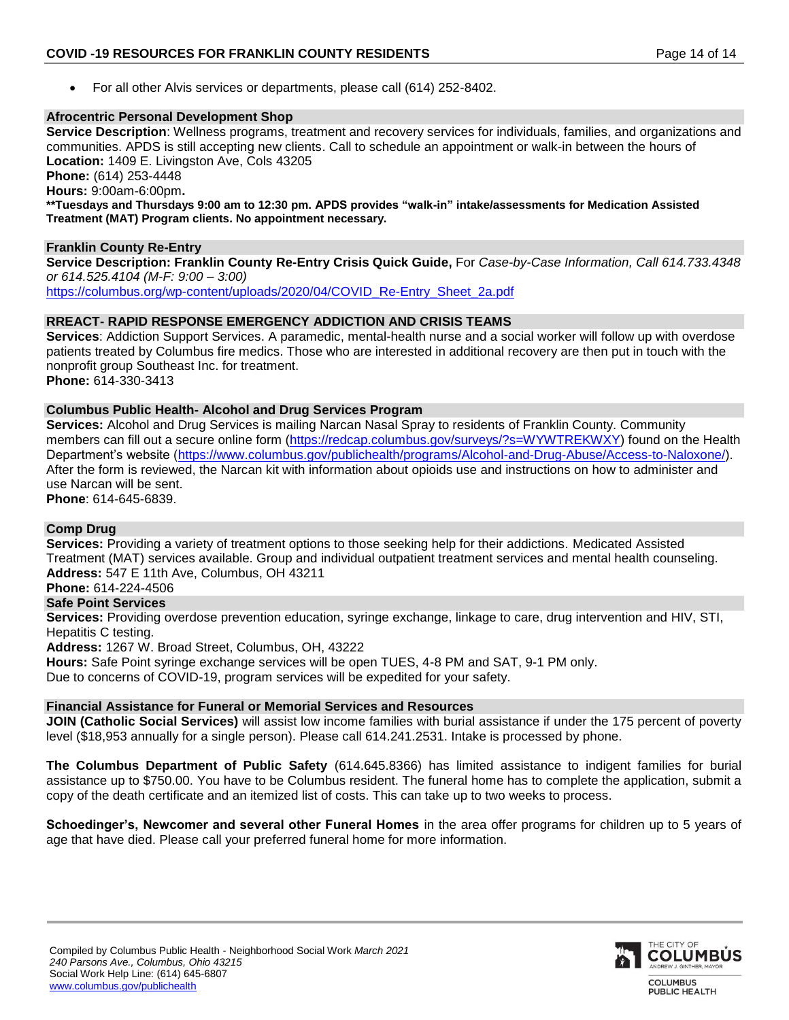For all other Alvis services or departments, please call (614) 252-8402.

# **Afrocentric Personal Development Shop**

**Service Description**: Wellness programs, treatment and recovery services for individuals, families, and organizations and communities. APDS is still accepting new clients. Call to schedule an appointment or walk-in between the hours of **Location:** 1409 E. Livingston Ave, Cols 43205 **Phone:** (614) 253-4448 **Hours:** 9:00am-6:00pm**. \*\*Tuesdays and Thursdays 9:00 am to 12:30 pm. APDS provides "walk-in" intake/assessments for Medication Assisted Treatment (MAT) Program clients. No appointment necessary.**

# **Franklin County Re-Entry**

**Service Description: Franklin County Re-Entry Crisis Quick Guide,** For *Case-by-Case Information, Call 614.733.4348 or 614.525.4104 (M-F: 9:00 – 3:00)* [https://columbus.org/wp-content/uploads/2020/04/COVID\\_Re-Entry\\_Sheet\\_2a.pdf](https://columbus.org/wp-content/uploads/2020/04/COVID_Re-Entry_Sheet_2a.pdf)

# **RREACT- RAPID RESPONSE EMERGENCY ADDICTION AND CRISIS TEAMS**

**Services**: Addiction Support Services. A paramedic, mental-health nurse and a social worker will follow up with overdose patients treated by Columbus fire medics. Those who are interested in additional recovery are then put in touch with the nonprofit group Southeast Inc. for treatment. **Phone:** 614-330-3413

## **Columbus Public Health- Alcohol and Drug Services Program**

**Services:** Alcohol and Drug Services is mailing Narcan Nasal Spray to residents of Franklin County. Community members can fill out a secure online form [\(https://redcap.columbus.gov/surveys/?s=WYWTREKWXY\)](https://redcap.columbus.gov/surveys/?s=WYWTREKWXY) found on the Health Department's website [\(https://www.columbus.gov/publichealth/programs/Alcohol-and-Drug-Abuse/Access-to-Naloxone/\)](https://www.columbus.gov/publichealth/programs/Alcohol-and-Drug-Abuse/Access-to-Naloxone/). After the form is reviewed, the Narcan kit with information about opioids use and instructions on how to administer and use Narcan will be sent. **Phone**: 614-645-6839.

**Comp Drug** 

**Services:** Providing a variety of treatment options to those seeking help for their addictions. Medicated Assisted Treatment (MAT) services available. Group and individual outpatient treatment services and mental health counseling. **Address:** 547 E 11th Ave, Columbus, OH 43211

**Phone:** 614-224-4506

# **Safe Point Services**

**Services:** Providing overdose prevention education, syringe exchange, linkage to care, drug intervention and HIV, STI, Hepatitis C testing.

**Address:** 1267 W. Broad Street, Columbus, OH, 43222

**Hours:** Safe Point syringe exchange services will be open TUES, 4-8 PM and SAT, 9-1 PM only.

Due to concerns of COVID-19, program services will be expedited for your safety.

# **Financial Assistance for Funeral or Memorial Services and Resources**

**JOIN (Catholic Social Services)** will assist low income families with burial assistance if under the 175 percent of poverty level (\$18,953 annually for a single person). Please call 614.241.2531. Intake is processed by phone.

**The Columbus Department of Public Safety** (614.645.8366) has limited assistance to indigent families for burial assistance up to \$750.00. You have to be Columbus resident. The funeral home has to complete the application, submit a copy of the death certificate and an itemized list of costs. This can take up to two weeks to process.

**Schoedinger's, Newcomer and several other Funeral Homes** in the area offer programs for children up to 5 years of age that have died. Please call your preferred funeral home for more information.